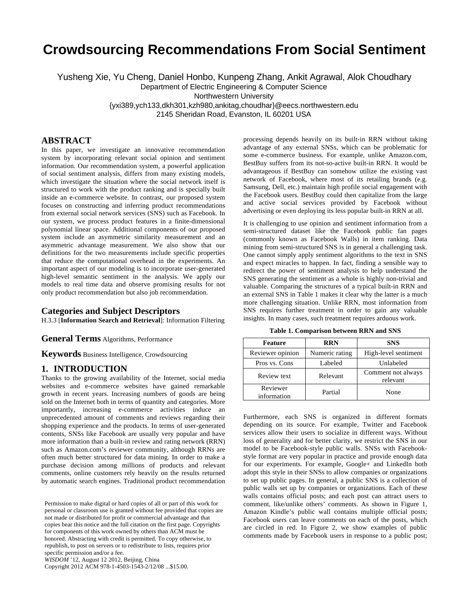# **Crowdsourcing Recommendations From Social Sentiment**

Yusheng Xie, Yu Cheng, Daniel Honbo, Kunpeng Zhang, Ankit Agrawal, Alok Choudhary

Department of Electric Engineering & Computer Science

Northwestern University

{yxi389,ych133,dkh301,kzh980,ankitag,choudhar}@eecs.northwestern.edu

2145 Sheridan Road, Evanston, IL 60201 USA

## **ABSTRACT**

In this paper, we investigate an innovative recommendation system by incorporating relevant social opinion and sentiment information. Our recommendation system, a powerful application of social sentiment analysis, differs from many existing models, which investigate the situation where the social network itself is structured to work with the product ranking and is specially built inside an e-commerce website. In contrast, our proposed system focuses on constructing and inferring product recommendations from external social network services (SNS) such as Facebook. In our system, we process product features in a finite-dimensional polynomial linear space. Additional components of our proposed system include an asymmetric similarity measurement and an asymmetric advantage measurement. We also show that our definitions for the two measurements include specific properties that reduce the computational overhead in the experiments. An important aspect of our modeling is to incorporate user-generated high-level semantic sentiment in the analysis. We apply our models to real time data and observe promising results for not only product recommendation but also job recommendation.

#### **Categories and Subject Descriptors**

H.3.3 [**Information Search and Retrieval**]: Information Filtering

**General Terms** Algorithms, Performance

**Keywords** Business Intelligence, Crowdsourcing

### **1. INTRODUCTION**

Thanks to the growing availability of the Internet, social media websites and e-commerce websites have gained remarkable growth in recent years. Increasing numbers of goods are being sold on the Internet both in terms of quantity and categories. More importantly, increasing e-commerce activities induce an unprecedented amount of comments and reviews regarding their shopping experience and the products. In terms of user-generated contents, SNSs like Facebook are usually very popular and have more information than a built-in review and rating network (RRN) such as Amazon.com's reviewer community, although RRNs are often much better structured for data mining. In order to make a purchase decision among millions of products and relevant comments, online customers rely heavily on the results returned by automatic search engines. Traditional product recommendation

Permission to make digital or hard copies of all or part of this work for personal or classroom use is granted without fee provided that copies are not made or distributed for profit or commercial advantage and that copies bear this notice and the full citation on the first page. Copyrights for components of this work owned by others than ACM must be honored. Abstracting with credit is permitted. To copy otherwise, to republish, to post on servers or to redistribute to lists, requires prior specific permission and/or a fee.

*WISDOM* '12, August 12 2012, Beijing, China

Copyright 2012 ACM 978-1-4503-1543-2/12/08 ...\$15.00.

processing depends heavily on its built-in RRN without taking advantage of any external SNSs, which can be problematic for some e-commerce business. For example, unlike Amazon.com, BestBuy suffers from its not-so-active built-in RRN. It would be advantageous if BestBuy can somehow utilize the existing vast network of Facebook, where most of its retailing brands (e.g. Samsung, Dell, etc.) maintain high profile social engagement with the Facebook users. BestBuy could then capitalize from the large and active social services provided by Facebook without advertising or even deploying its less popular built-in RRN at all.

It is challenging to use opinion and sentiment information from a semi-structured dataset like the Facebook public fan pages (commonly known as Facebook Walls) in item ranking. Data mining from semi-structured SNS is in general a challenging task. One cannot simply apply sentiment algorithms to the text in SNS and expect miracles to happen. In fact, finding a sensible way to redirect the power of sentiment analysis to help understand the SNS generating the sentiment as a whole is highly non-trivial and valuable. Comparing the structures of a typical built-in RRN and an external SNS in Table 1 makes it clear why the latter is a much more challenging situation. Unlike RRN, most information from SNS requires further treatment in order to gain any valuable insights. In many cases, such treatment requires arduous work.

**Table 1. Comparison between RRN and SNS**

| <b>Feature</b>          | <b>RRN</b>     | <b>SNS</b>                     |  |
|-------------------------|----------------|--------------------------------|--|
| Reviewer opinion        | Numeric rating | High-level sentiment           |  |
| Pros vs. Cons           | Labeled        | Unlabeled                      |  |
| Review text             | Relevant       | Comment not always<br>relevant |  |
| Reviewer<br>information | Partial        | None                           |  |

Furthermore, each SNS is organized in different formats depending on its source. For example, Twitter and Facebook services allow their users to socialize in different ways. Without loss of generality and for better clarity, we restrict the SNS in our model to be Facebook-style public walls. SNSs with Facebookstyle format are very popular in practice and provide enough data for our experiments. For example, Google+ and LinkedIn both adopt this style in their SNSs to allow companies or organizations to set up public pages. In general, a public SNS is a collection of public walls set up by companies or organizations. Each of these walls contains official posts; and each post can attract users to comment, like/unlike others' comments. As shown in Figure 1, Amazon Kindle's public wall contains multiple official posts; Facebook users can leave comments on each of the posts, which are circled in red. In Figure 2, we show examples of public comments made by Facebook users in response to a public post;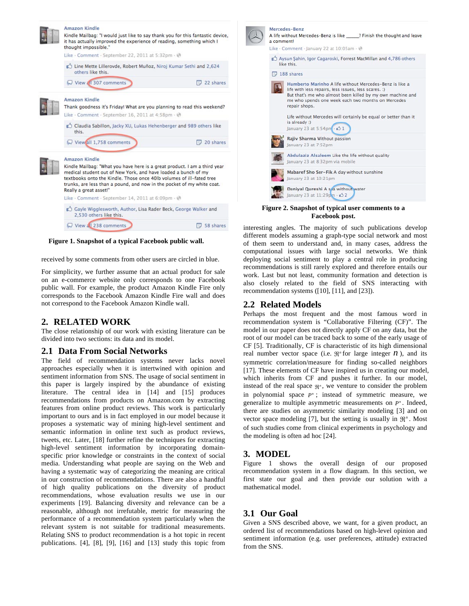

**Figure 1. Snapshot of a typical Facebook public wall.**

received by some comments from other users are circled in blue. **.**

For simplicity, we further assume that an actual product for sale on an e-commerce website only corresponds to one Facebook public wall. For example, the product Amazon Kindle Fire only corresponds to the Facebook Amazon Kindle Fire wall and does not correspond to the Facebook Amazon Kindle wall.

# **2. RELATED WORK**

The close relationship of our work with existing literature can be divided into two sections: its data and its model.

#### **2.1 Data From Social Networks**

The field of recommendation systems never lacks novel approaches especially when it is intertwined with opinion and sentiment information from SNS. The usage of social sentiment in this paper is largely inspired by the abundance of existing literature. The central idea in [14] and [15] produces recommendations from products on Amazon.com by extracting features from online product reviews. This work is particularly important to ours and is in fact employed in our model because it proposes a systematic way of mining high-level sentiment and semantic information in online text such as product reviews, tweets, etc. Later, [18] further refine the techniques for extracting high-level sentiment information by incorporating domainspecific prior knowledge or constraints in the context of social media. Understanding what people are saying on the Web and having a systematic way of categorizing the meaning are critical in our construction of recommendations. There are also a handful of high quality publications on the diversity of product recommendations, whose evaluation results we use in our experiments [19]. Balancing diversity and relevance can be a reasonable, although not irrefutable, metric for measuring the performance of a recommendation system particularly when the relevant system is not suitable for traditional measurements. Relating SNS to product recommendation is a hot topic in recent publications. [4], [8], [9], [16] and [13] study this topic from



**Facebook post.**

interesting angles. The majority of such publications develop different models assuming a graph-type social network and most **.**of them seem to understand and, in many cases, address the computational issues with large social networks. We think deploying social sentiment to play a central role in producing recommendations is still rarely explored and therefore entails our work. Last but not least, community formation and detection is also closely related to the field of SNS interacting with recommendation systems ([10], [11], and [23]).

## **2.2 Related Models**

Perhaps the most frequent and the most famous word in recommendation system is "Collaborative Filtering (CF)". The model in our paper does not directly apply CF on any data, but the root of our model can be traced back to some of the early usage of CF [5]. Traditionally, CF is characteristic of its high dimensional real number vector space (i.e.  $\mathbb{R}^n$  for large integer  $n$ ), and its symmetric correlation/measure for finding so-called neighbors [17]. These elements of CF have inspired us in creating our model, which inherits from CF and pushes it further. In our model, instead of the real space  $\mathfrak{R}^n$ , we venture to consider the problem in polynomial space *P<sup>n</sup>* ; instead of symmetric measure, we generalize to multiple asymmetric measurements on *P<sup>n</sup>* . Indeed, there are studies on asymmetric similarity modeling [3] and on vector space modeling [7], but the setting is usually in  $\mathfrak{R}^n$ . Most of such studies come from clinical experiments in psychology and the modeling is often ad hoc [24].

## **3. MODEL**

Figure 1 shows the overall design of our proposed recommendation system in a flow diagram. In this section, we first state our goal and then provide our solution with a mathematical model.

# **3.1 Our Goal**

Given a SNS described above, we want, for a given product, an ordered list of recommendations based on high-level opinion and sentiment information (e.g. user preferences, attitude) extracted from the SNS.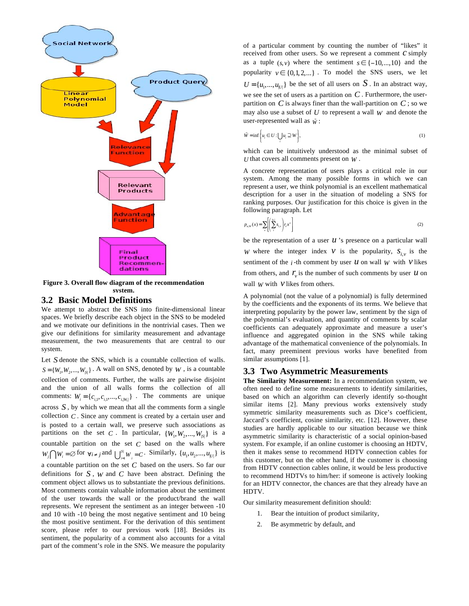

**Figure 3. Overall flow diagram of the recommendation system.**

## **3.2 Basic Model Definitions .**

We attempt to abstract the SNS into finite-dimensional linear spaces. We briefly describe each object in the SNS to be modeled and we motivate our definitions in the nontrivial cases. Then we give our definitions for similarity measurement and advantage measurement, the two measurements that are central to our system.

Let S denote the SNS, which is a countable collection of walls.  $S = \{W_1, W_2, \dots, W_{|S|}\}\$ . A wall on SNS, denoted by *W*, is a countable collection of comments. Further, the walls are pairwise disjoint and the union of all walls forms the collection of all comments:  $W_i = \{c_{i,1}, c_{i,1}, \dots, c_{i,|W_i|}\}$ . The comments are unique across *S* , by which we mean that all the comments form a single collection *C* . Since any comment is created by a certain user and is posted to a certain wall, we preserve such associations as partitions on the set *C*. In particular,  $\{W_1, W_2, ..., W_{|S|}\}$  is a countable partition on the set *C* based on the walls where  $W_j \bigcap W_i = \emptyset$  for  $\forall i \neq j$  and  $\bigcup_{i=1}^{|S|} W_i = C$ . Similarly,  $\{u_1, u_2, ..., u_{|U|}\}$  is a countable partition on the set *C* based on the users. So far our definitions for  $S$ ,  $W$  and  $C$  have been abstract. Defining the comment object allows us to substantiate the previous definitions. Most comments contain valuable information about the sentiment of the user towards the wall or the product/brand the wall represents. We represent the sentiment as an integer between -10 and 10 with -10 being the most negative sentiment and 10 being the most positive sentiment. For the derivation of this sentiment score, please refer to our previous work [18]. Besides its sentiment, the popularity of a comment also accounts for a vital part of the comment's role in the SNS. We measure the popularity

of a particular comment by counting the number of "likes" it received from other users. So we represent a comment *c* simply as a tuple  $(s, v)$  where the sentiment  $s \in \{-10, ..., 10\}$  and the popularity  $v \in \{0,1,2,...\}$ . To model the SNS users, we let  $U = \{u_1, \dots, u_{|U|}\}$  be the set of all users on *S*. In an abstract way, we see the set of users as a partition on *C* . Furthermore, the userpartition on *C* is always finer than the wall-partition on *C* ; so we may also use a subset of  $U$  to represent a wall  $W$  and denote the user-represented wall as  $\tilde{w}$ :

$$
\tilde{W} = \inf \left\{ u_i \in U : \bigcup_i u_i \supseteq W \right\},\tag{1}
$$

which can be intuitively understood as the minimal subset of *U* that covers all comments present on *W* .

A concrete representation of users plays a critical role in our system. Among the many possible forms in which we can represent a user, we think polynomial is an excellent mathematical description for a user in the situation of modeling a SNS for ranking purposes. Our justification for this choice is given in the following paragraph. Let

$$
p_{u,w}(x) = \sum_{v} \left[ \left( \sum_{i}^{|\mathbf{x}|} s_{i,v} \right) r_i x^v \right] \tag{2}
$$

be the representation of a user  $u$  's presence on a particular wall *W* where the integer index *v* is the popularity,  $S_{i,v}$  is the sentiment of the  $i$ -th comment by user  $U$  on wall  $W$  with  $V$  likes from others, and  $r_v$  is the number of such comments by user  $u$  on wall  $W$  with  $V$  likes from others.

A polynomial (not the value of a polynomial) is fully determined by the coefficients and the exponents of its terms. We believe that interpreting popularity by the power law, sentiment by the sign of the polynomial's evaluation, and quantity of comments by scalar coefficients can adequately approximate and measure a user's influence and aggregated opinion in the SNS while taking advantage of the mathematical convenience of the polynomials. In fact, many preeminent previous works have benefited from similar assumptions [1].

#### **3.3 Two Asymmetric Measurements**

**The Similarity Measurement:** In a recommendation system, we often need to define some measurements to identify similarities, based on which an algorithm can cleverly identify so-thought similar items [2]. Many previous works extensively study symmetric similarity measurements such as Dice's coefficient, Jaccard's coefficient, cosine similarity, etc. [12]. However, these studies are hardly applicable to our situation because we think asymmetric similarity is characteristic of a social opinion-based system. For example, if an online customer is choosing an HDTV, then it makes sense to recommend HDTV connection cables for this customer, but on the other hand, if the customer is choosing from HDTV connection cables online, it would be less productive to recommend HDTVs to him/her: if someone is actively looking for an HDTV connector, the chances are that they already have an HDTV.

Our similarity measurement definition should:

- 1. Bear the intuition of product similarity,
- 2. Be asymmetric by default, and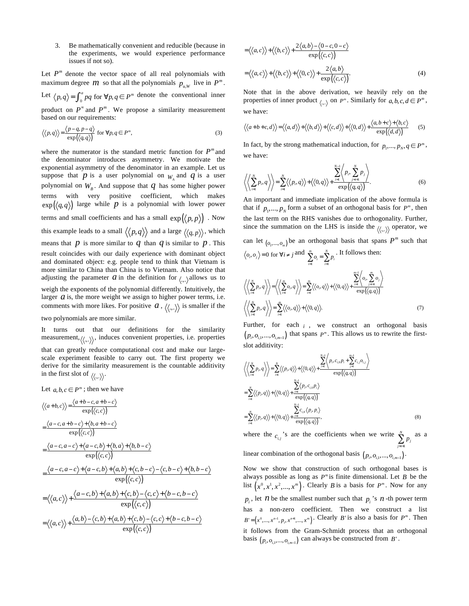3. Be mathematically convenient and reducible (because in the experiments, we would experience performance issues if not so).

Let  $P^m$  denote the vector space of all real polynomials with maximum degree *m* so that all the polynomials  $p_{\mu W}$  live in  $P^m$ .

Let  $\langle p, q \rangle = \int_0^a p q$  for  $\forall p, q \in P^m$  denote the conventional inner

product on  $P^{\infty}$  and  $P^m$ . We propose a similarity measurement based on our requirements:

$$
\langle \langle p, q \rangle \rangle = \frac{\langle p - q, p - q \rangle}{\exp(\langle q, q \rangle)} \text{ for } \forall p, q \in P^m,
$$
 (3)

where the numerator is the standard metric function for  $P^m$  and the denominator introduces asymmetry. We motivate the exponential asymmetry of the denominator in an example. Let us suppose that  $p$  is a user polynomial on  $W_A$  and  $q$  is a user polynomial on  $W_p$ . And suppose that  $q$  has some higher power terms with very positive coefficient, which makes  $\exp(\langle q, q \rangle)$  large while *p* is a polynomial with lower power terms and small coefficients and has a small  $exp(\langle p, p \rangle)$  . Now this example leads to a small  $\langle \langle p, q \rangle \rangle$  and a large  $\langle \langle q, p \rangle \rangle$ , which means that  $p$  is more similar to  $q$  than  $q$  is similar to  $p$ . This result coincides with our daily experience with dominant object and dominated object: e.g. people tend to think that Vietnam is more similar to China than China is to Vietnam. Also notice that adjusting the parameter  $a$  in the definition for  $\langle ., . \rangle$  allows us to weigh the exponents of the polynomial differently. Intuitively, the larger  $a$  is, the more weight we assign to higher power terms, i.e. comments with more likes. For positive  $a$ ,  $\langle \langle \cdot, \cdot \rangle \rangle$  is smaller if the

two polynomials are more similar.

It turns out that our definitions for the similarity measurement,  $\langle \langle \ldots \rangle \rangle$ , induces convenient properties, i.e. properties that can greatly reduce computational cost and make our largescale experiment feasible to carry out. The first property we derive for the similarity measurement is the countable additivity in the first slot of  $\langle\langle .,. \rangle\rangle$ 

Let  $a, b, c \in P^m$ ; then we have

$$
\langle \langle a+b,c \rangle \rangle = \frac{\langle a+b-c, a+b-c \rangle}{\exp(\langle c,c \rangle)}
$$
  
\n=
$$
\frac{\langle a-c, a+b-c \rangle + \langle b, a+b-c \rangle}{\exp(\langle c,c \rangle)}
$$
  
\n=
$$
\frac{\langle a-c, a-c \rangle + \langle a-c, b \rangle + \langle b, a \rangle + \langle b, b-c \rangle}{\exp(\langle c,c \rangle)}
$$
  
\n=
$$
\frac{\langle a-c, a-c \rangle + \langle a-c, b \rangle + \langle a, b \rangle + \langle c, b-c \rangle - \langle c, b-c \rangle + \langle b, b-c \rangle}{\exp(\langle c, c \rangle)}
$$
  
\n=
$$
\langle \langle a, c \rangle \rangle + \frac{\langle a-c, b \rangle + \langle a, b \rangle + \langle c, b \rangle - \langle c, c \rangle + \langle b-c, b-c \rangle}{\exp(\langle c, c \rangle)}
$$
  
\n=
$$
\langle \langle a, c \rangle \rangle + \frac{\langle a, b \rangle - \langle c, b \rangle + \langle a, b \rangle + \langle c, b \rangle - \langle c, c \rangle + \langle b-c, b-c \rangle}{\exp(\langle c, c \rangle)}
$$

$$
= \langle \langle a, c \rangle \rangle + \langle \langle b, c \rangle \rangle + \frac{2 \langle a, b \rangle - \langle 0 - c, 0 - c \rangle}{\exp(\langle c, c \rangle)}
$$
  

$$
= \langle \langle a, c \rangle \rangle + \langle \langle b, c \rangle \rangle + \langle \langle 0, c \rangle \rangle + \frac{2 \langle a, b \rangle}{\exp(\langle c, c \rangle)}.
$$
 (4)

Note that in the above derivation, we heavily rely on the properties of inner product  $\langle ... \rangle$  on  $P^m$ . Similarly for  $a, b, c, d \in P^m$ , we have:

$$
\langle \langle a+b+c,d \rangle \rangle = \langle \langle a,d \rangle \rangle + \langle \langle b,d \rangle \rangle + \langle \langle c,d \rangle \rangle + \langle \langle 0,d \rangle \rangle + \frac{\langle a,b+c \rangle + \langle b,c \rangle}{\exp(\langle d,d \rangle)}
$$
(5)

In fact, by the strong mathematical induction, for  $p_1, ..., p_N, q \in P^m$ , we have:

$$
\left\langle \left\langle \sum_{i=1}^{N} p_i, q \right\rangle \right\rangle = \sum_{i=1}^{N} \left\langle \left\langle p_i, q \right\rangle \right\rangle + \left\langle \left\langle 0, q \right\rangle \right\rangle + \frac{\sum_{i=1}^{N-1} \left\langle p_i, \sum_{j=i+1}^{N} p_j \right\rangle}{\exp \left\langle q, q \right\rangle}. \tag{6}
$$

An important and immediate implication of the above formula is that if  $p_1, \ldots, p_N$  form a subset of an orthogonal basis for  $P^m$ , then the last term on the RHS vanishes due to orthogonality. Further, since the summation on the LHS is inside the  $\langle \langle ... \rangle \rangle$  operator, we can let  $_{(o_1,...,o_m)}$  be an orthogonal basis that spans  $P^m$  such that  $\langle o_i, o_j \rangle = 0$  for  $\forall i \neq j$  and  $\sum_{i=1}^{m} o_i$  $\sum_{i=1}^{m}$   $o_i = \sum_{i=1}^{N} p_i$  $\sum_{i=1}^{N} p_i$ . It follows then:  $\sum_{i=1}^{\infty} p_i$  $\langle \langle \sum_{i=1}^N p_i, q \rangle \rangle = \langle \langle \langle \sum_{i=1}^m o_i \rangle \rangle$  $\left\langle \sum_{i=1}^m \overline{O}_i, q \right\rangle$  =  $\sum_{i=1}^m \left\langle \left\langle \overline{O}_i, \overline{q} \right\rangle \right\rangle$  $\sum^m_{i=1} \langle \langle o_i, q \rangle \rangle + \langle \langle 0, q \rangle \rangle +$  $o_i, \sum_{j=i+1} 0_j$  $\sum_{i=1}^{m-1}\Biggl\langle o_i,\sum_{j=i+1}^m\Biggr\rangle$ *m*−1 ∑  $\exp \bigl( \langle q,q \rangle \bigr)$  $\sum_{i=1}^k p_i$  $\left\langle \sum_{i=1}^N p_i, q \right\rangle \Bigg\rangle = \sum_{i=1}^m \Big\langle \Big\langle o_i, q \Big\rangle$  $\sum_{i=1}^{m} \langle \langle o_i, q \rangle \rangle + \langle \langle 0, q \rangle \rangle.$  (7)

Further, for each  $i$ , we construct an orthogonal basis  $(p_i, o_{i,1},..., o_{i,m-1})$  that spans *P<sup>m</sup>*. This allows us to rewrite the firstslot additivity:

$$
\left\langle \left\langle \sum_{i=1}^{N} p_i, q \right\rangle \right\rangle = \sum_{i=1}^{N} \left\langle \left\langle p_i, q \right\rangle \right\rangle + \left\langle \left\langle 0, q \right\rangle \right\rangle + \frac{\sum_{i=1}^{N-1} \left\langle p_i, c_{i,0} p_i + \sum_{j=1}^{m-1} c_{i,j} o_{i,j} \right\rangle}{\exp(\left\langle q, q \right\rangle)}
$$

$$
= \sum_{i=1}^{N} \left\langle \left\langle p_i, q \right\rangle \right\rangle + \left\langle \left\langle 0, q \right\rangle \right\rangle + \frac{\sum_{i=1}^{N-1} \left\langle p_i, c_{i,0} p_i \right\rangle}{\exp(\left\langle q, q \right\rangle)}
$$

$$
= \sum_{i=1}^{N} \left\langle \left\langle p_i, q \right\rangle \right\rangle + \left\langle \left\langle 0, q \right\rangle \right\rangle + \frac{\sum_{i=1}^{N-1} c_{i,0} \left\langle p_i, p_i \right\rangle}{\exp(\left\langle q, q \right\rangle)}, \tag{8}
$$

where the  $c_{i,j}$ 's are the coefficients when we write  $\sum_{j=i+1}^{N} p_j$  $\sum_{j=1}^{N} p_j$  as a

linear combination of the orthogonal basis  $(p_i, o_{i,1},..., o_{i,m-1})$ .

Now we show that construction of such orthogonal bases is always possible as long as *P<sup>m</sup>* is finite dimensional. Let *B* be the list  $(x^0, x^1, x^2, ..., x^m)$ . Clearly *B* is a basis for *P*<sup>*m*</sup>. Now for any  $p_i$ , let *n* be the smallest number such that  $p_i$ 's *n* -th power term has a non-zero coefficient. Then we construct a list  $B' = \left(x^0, \ldots, x^{n-1}, p_i, x^{n+1}, \ldots, x^m\right)$ . Clearly *B*' is also a basis for  $P^m$ . Then it follows from the Gram-Schmidt process that an orthogonal basis  $(p_i, o_{i,1},..., o_{i,m-1})$  can always be constructed from  $B'$ .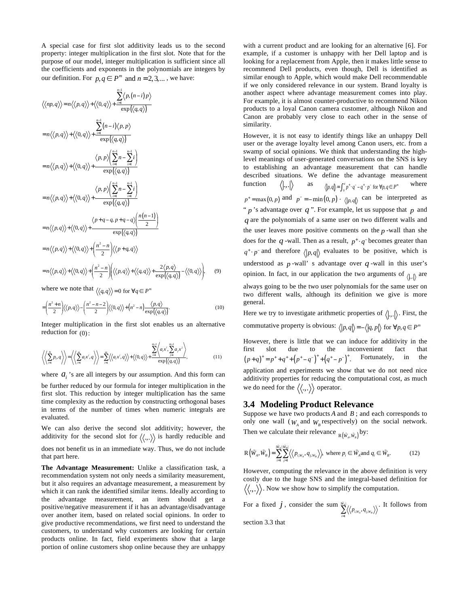A special case for first slot additivity leads us to the second property: integer multiplication in the first slot. Note that for the purpose of our model, integer multiplication is sufficient since all the coefficients and exponents in the polynomials are integers by our definition. For  $p, q \in P^m$  and  $n = 2, 3, ...$ , we have:

$$
\langle \langle np, q \rangle \rangle = n \langle \langle p, q \rangle \rangle + \langle \langle 0, q \rangle \rangle + \sum_{i=1}^{n-1} \langle p, (n-i) p \rangle
$$
  
\n
$$
= n \langle \langle p, q \rangle \rangle + \langle \langle 0, q \rangle \rangle + \sum_{i=1}^{n-1} (n-i) \langle p, p \rangle
$$
  
\n
$$
= n \langle \langle p, q \rangle \rangle + \langle \langle 0, q \rangle \rangle + \frac{\langle p, p \rangle \left( \sum_{i=1}^{n-1} n - \sum_{i=1}^{n-1} i \right)}{\exp(\langle q, q \rangle)}
$$
  
\n
$$
= n \langle \langle p, q \rangle \rangle + \langle \langle 0, q \rangle \rangle + \frac{\langle p, p \rangle \left( \sum_{i=1}^{n-1} n - \sum_{i=1}^{n-1} i \right)}{\exp(\langle q, q \rangle)}
$$
  
\n
$$
= n \langle \langle p, q \rangle \rangle + \langle \langle 0, q \rangle \rangle + \frac{\langle p + q - q, p + q - q \rangle \left( \frac{n(n-1)}{2} \right)}{\exp(\langle q, q \rangle)}
$$
  
\n
$$
= n \langle \langle p, q \rangle \rangle + \langle \langle 0, q \rangle \rangle + \frac{\langle p + q - q, p + q - q \rangle \left( \frac{n(n-1)}{2} \right)}{\exp(\langle q, q \rangle)}
$$
  
\n
$$
= n \langle \langle p, q \rangle \rangle + \langle \langle 0, q \rangle \rangle + \frac{\left( \frac{n^2 - n}{2} \right) \langle \langle p + q, q \rangle \rangle}{\left( \frac{n^2 - n}{2} \right) \langle \langle p, q \rangle \rangle + \langle \langle q, q \rangle \rangle + \frac{2 \langle p, q \rangle}{\exp(\langle q, q \rangle)} - \langle \langle 0, q \rangle \rangle \rangle,
$$
  
\nwhere we note that  $\langle p, q \rangle \rangle + \langle q, q \rangle \rangle = n$ 

where we note that  $\langle \langle q, q \rangle \rangle = 0$  for  $\forall q \in P$ 

$$
= \left(\frac{n^2+n}{2}\right) \langle\langle p,q\rangle\rangle - \left(\frac{n^2-n-2}{2}\right) \langle\langle 0,q\rangle\rangle + \left(n^2-n\right) \frac{\langle p,q\rangle}{\exp(\langle q,q\rangle)}.
$$
 (10)

, (9)

Integer multiplication in the first slot enables us an alternative reduction for  $(0)$ :

$$
\left\langle \left\langle \sum_{i=1}^{N} p_i, q \right\rangle \right\rangle = \left\langle \left\langle \sum_{i=1}^{m} a_i x^i, q \right\rangle \right\rangle = \sum_{i=1}^{m} \left\langle \left\langle a_i x^i, q \right\rangle \right\rangle + \left\langle \left\langle 0, q \right\rangle \right\rangle + \frac{\sum_{i=1}^{m-1} \left\langle a_i x^i, \sum_{j=1}^{m-1} a_j x^j \right\rangle}{\exp \left\langle \left\langle q, q \right\rangle \right\rangle},\tag{11}
$$

where  $a_i$ 's are all integers by our assumption. And this form can be further reduced by our formula for integer multiplication in the first slot. This reduction by integer multiplication has the same time complexity as the reduction by constructing orthogonal bases in terms of the number of times when numeric integrals are evaluated.

We can also derive the second slot additivity; however, the additivity for the second slot for  $\langle\langle ...\rangle\rangle$  is hardly reducible and does not benefit us in an immediate way. Thus, we do not include

that part here.

**The Advantage Measurement:** Unlike a classification task, a recommendation system not only needs a similarity measurement, but it also requires an advantage measurement, a measurement by which it can rank the identified similar items. Ideally according to the advantage measurement, an item should get a positive/negative measurement if it has an advantage/disadvantage over another item, based on related social opinions. In order to give productive recommendations, we first need to understand the customers, to understand why customers are looking for certain products online. In fact, field experiments show that a large portion of online customers shop online because they are unhappy

with a current product and are looking for an alternative [6]. For example, if a customer is unhappy with her Dell laptop and is looking for a replacement from Apple, then it makes little sense to recommend Dell products, even though, Dell is identified as similar enough to Apple, which would make Dell recommendable if we only considered relevance in our system. Brand loyalty is another aspect where advantage measurement comes into play. For example, it is almost counter-productive to recommend Nikon products to a loyal Canon camera customer, although Nikon and Canon are probably very close to each other in the sense of similarity.

However, it is not easy to identify things like an unhappy Dell user or the average loyalty level among Canon users, etc. from a swamp of social opinions. We think that understanding the highlevel meanings of user-generated conversations on the SNS is key to establishing an advantage measurement that can handle described situations. We define the advantage measurement function  $\langle |, .| \rangle$  as  $\langle |p, q| \rangle = \int_0^a p^* \cdot q^{-}$  $\int_0^a p^* \cdot q^- - q^* \cdot p^-$  for  $\forall p, q \in P^m$  where  $p^+ = \max(0, p)$  and  $p^- = -\min(0, p) \cdot \langle p, q \rangle$  can be interpreted as " $p$ 's advantage over  $q$ ". For example, let us suppose that  $p$  and *q* are the polynomials of a same user on two different walls and the user leaves more positive comments on the  $p$ -wall than she does for the *q* -wall. Then as a result, *p*<sup>+</sup> ⋅ *q*<sup>−</sup> becomes greater than  $q^{\dagger} \cdot p^{\dagger}$  and therefore  $\langle |p, q| \rangle$  evaluates to be positive, which is understood as  $p$ -wall' s advantage over  $q$ -wall in this user's opinion. In fact, in our application the two arguments of  $\lim_{n \to \infty}$  are always going to be the two user polynomials for the same user on two different walls, although its definition we give is more general.

Here we try to investigate arithmetic properties of  $\langle |, .| \rangle$ . First, the commutative property is obvious:  $\langle p, q \rangle = - \langle q, p \rangle$  for  $\forall p, q \in P^m$ 

However, there is little that we can induce for additivity in the first slot due to the inconvenient fact that  $(p+q)^{+} = p^{+} + q^{+} + (p^{+} - q^{-})^{+} + (q^{+} - p^{-})^{+}$ Fortunately, in the application and experiments we show that we do not need nice additivity properties for reducing the computational cost, as much we do need for the  $\langle \langle ., . \rangle \rangle$  operator.

#### **3.4 Modeling Product Relevance**

Suppose we have two products *A* and *B* ; and each corresponds to only one wall ( $W_A$  and  $W_B$  respectively) on the social network. Then we calculate their relevance  $R(\tilde{w}_A, \tilde{w}_B)$  by:

$$
\mathcal{R}\left(\tilde{W}_A, \tilde{W}_B\right) = \sum_{i=1}^{|\tilde{W}_A|} \sum_{j=1}^{|\tilde{W}_B|} \left\langle \left\langle p_{i, W_A}, q_{j, W_B} \right\rangle \right\rangle, \text{ where } p_i \in \tilde{W}_A \text{ and } q_i \in \tilde{W}_B. \tag{12}
$$

However, computing the relevance in the above definition is very costly due to the huge SNS and the integral-based definition for  $\langle\langle .,.\rangle\rangle$ . Now we show how to simplify the computation.

For a fixed  $j$ , consider the sum  $\sum_{i=1}^{|\tilde{W}_A|} \langle \langle p_{i,w_A}, q_{j,w_B} \rangle$  $\sum_{\mathcal{N}\in\mathcal{N}}^{|\tilde{W}_A|}\big\langle \big\langle p_{_{i,W_A}}, q_{_{j,W_B}}\big\rangle\big\rangle.$  It follows from section 3.3 that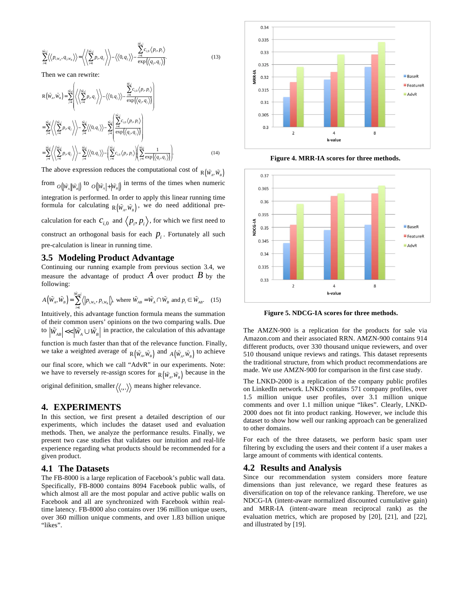$$
\sum_{i=1}^{|\tilde{W}_A|} \langle \langle p_{i, W_A}, q_{j, W_B} \rangle \rangle = \langle \langle \sum_{i=1}^{|\tilde{W}_A|} p_i, q_j \rangle \rangle - \langle \langle 0, q_j \rangle \rangle - \frac{\sum_{i=1}^{|\tilde{W}_A|} c_{i,0} \langle p_i, p_i \rangle}{\exp(\langle q_j, q_j \rangle)} \tag{13}
$$

Then we can rewrite:

$$
R(\tilde{W}_A, \tilde{W}_B) = \sum_{j=1}^{|\tilde{W}_B|} \left( \left\langle \left\langle \sum_{i=1}^{|\tilde{W}_A|} P_i, q_j \right\rangle \right\rangle - \left\langle \langle 0, q_j \rangle \right\rangle - \frac{\sum_{i=1}^{|\tilde{W}_A|} \left\langle \langle p_i, p_i \rangle \right\rangle}{\exp(\langle q_i, q_j \rangle)} \right)
$$
  
\n
$$
= \sum_{j=1}^{|\tilde{W}_B|} \left\langle \left\langle \sum_{i=1}^{|\tilde{W}_A|} P_i, q_j \right\rangle \right\rangle - \sum_{j=1}^{|\tilde{W}_B|} \left\langle \langle 0, q_j \rangle \right\rangle - \sum_{j=1}^{|\tilde{W}_B|} \left\langle \sum_{i=1}^{|\tilde{W}_A|} C_{i,0} \langle p_i, p_i \rangle \right\rangle
$$
  
\n
$$
= \sum_{j=1}^{|\tilde{W}_B|} \left\langle \left\langle \sum_{i=1}^{|\tilde{W}_A|} P_i, q_j \right\rangle \right\rangle - \sum_{j=1}^{|\tilde{W}_B|} \left\langle \langle 0, q_j \rangle \right\rangle - \left\langle \sum_{i=1}^{|\tilde{W}_A|} C_{i,0} \langle p_i, p_i \rangle \right\rangle \left\langle \sum_{j=1}^{|\tilde{W}_B|} \frac{1}{\exp(\langle q_j, q_j \rangle)} \right\rangle \right).
$$
(14)

The above expression reduces the computational cost of  $R(\tilde{W}_A, \tilde{W}_B)$ from  $O(|\tilde{W}_A||\tilde{W}_B|)$  to  $O(|\tilde{W}_A|+|\tilde{W}_B|)$  in terms of the times when numeric integration is performed. In order to apply this linear running time formula for calculating  $_{R}(\tilde{W}_A, \tilde{W}_B)$ , we do need additional precalculation for each  $c_{i,0}$  and  $\langle p_i, p_i \rangle$ , for which we first need to construct an orthogonal basis for each  $p_i$ . Fortunately all such pre-calculation is linear in running time.

#### **3.5 Modeling Product Advantage**

Continuing our running example from previous section 3.4, we measure the advantage of product  $\vec{A}$  over product  $\vec{B}$  by the following:

$$
A(\tilde{W}_A, \tilde{W}_B) = \sum_{i=1}^{|\tilde{W}_{AB}|} \langle |p_{i, W_A}, p_{i, W_B}|\rangle, \text{ where } \tilde{W}_{AB} = \tilde{W}_A \cap \tilde{W}_B \text{ and } p_i \in \tilde{W}_{AB}. \quad (15)
$$

Intuitively, this advantage function formula means the summation of their common users' opinions on the two comparing walls. Due to  $|\tilde{W}_{AB}| \ll |\tilde{W}_A \cup \tilde{W}_B|$  in practice, the calculation of this advantage

function is much faster than that of the relevance function. Finally, we take a weighted average of  $_R(\tilde{W}_A, \tilde{W}_B)$  and  $A(\tilde{W}_A, \tilde{W}_B)$  to achieve

our final score, which we call "AdvR" in our experiments. Note: we have to reversely re-assign scores for  $R(\tilde{W}_A, \tilde{W}_B)$  because in the

original definition, smaller  $\langle \langle , \rangle \rangle$  means higher relevance.

#### **4. EXPERIMENTS**

In this section, we first present a detailed description of our experiments, which includes the dataset used and evaluation methods. Then, we analyze the performance results. Finally, we present two case studies that validates our intuition and real-life experience regarding what products should be recommended for a given product.

#### **4.1 The Datasets**

The FB-8000 is a large replication of Facebook's public wall data. Specifically, FB-8000 contains 8094 Facebook public walls, of which almost all are the most popular and active public walls on Facebook and all are synchronized with Facebook within realtime latency. FB-8000 also contains over 196 million unique users, over 360 million unique comments, and over 1.83 billion unique "likes".



**Figure 4. MRR-IA scores for three methods.**



**Figure 5. NDCG-IA scores for three methods.**

The AMZN-900 is a replication for the products for sale via Amazon.com and their associated RRN. AMZN-900 contains 914 different products, over 330 thousand unique reviewers, and over 510 thousand unique reviews and ratings. This dataset represents the traditional structure, from which product recommendations are made. We use AMZN-900 for comparison in the first case study.

The LNKD-2000 is a replication of the company public profiles on LinkedIn network. LNKD contains 571 company profiles, over 1.5 million unique user profiles, over 3.1 million unique comments and over 1.1 million unique "likes". Clearly, LNKD-2000 does not fit into product ranking. However, we include this dataset to show how well our ranking approach can be generalized to other domains.

For each of the three datasets, we perform basic spam user filtering by excluding the users and their content if a user makes a large amount of comments with identical contents.

#### **4.2 Results and Analysis**

Since our recommendation system considers more feature dimensions than just relevance, we regard these features as diversification on top of the relevance ranking. Therefore, we use NDCG-IA (intent-aware normalized discounted cumulative gain) and MRR-IA (intent-aware mean reciprocal rank) as the evaluation metrics, which are proposed by [20], [21], and [22], and illustrated by [19].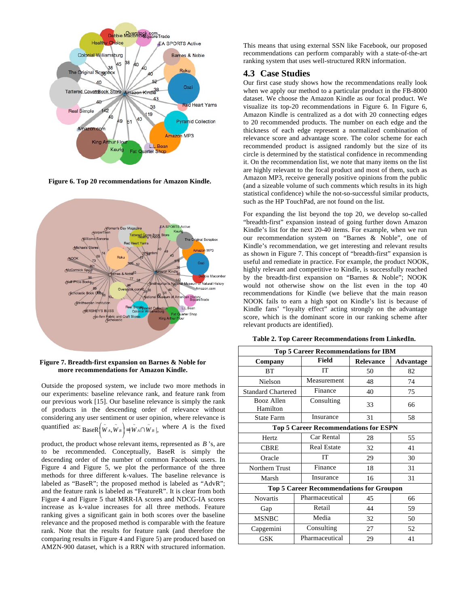

**Figure 6. Top 20 recommendations for Amazon Kindle.**



**Figure 7. Breadth-first expansion on Barnes & Noble for more recommendations for Amazon Kindle.**

Outside the proposed system, we include two more methods in our experiments: baseline relevance rank, and feature rank from **.** our previous work [15]. Our baseline relevance is simply the rank of products in the descending order of relevance without considering any user sentiment or user opinion, where relevance is quantified as:  $_{\text{BaseR}} \left( \tilde{W}_A, \tilde{W} \right)$  $\big(\tilde{\hat{W}}_A, \tilde{\hat{W}}_B$  $(\tilde{W}_A, \tilde{W}_B) = |\tilde{W}_A \cap \tilde{W}_B|$ , where *A* is the fixed

product, the product whose relevant items, represented as *B* 's, are to be recommended. Conceptually, BaseR is simply the descending order of the number of common Facebook users. In Figure 4 and Figure 5, we plot the performance of the three methods for three different k-values. The baseline relevance is labeled as "BaseR"; the proposed method is labeled as "AdvR"; and the feature rank is labeled as "FeatureR". It is clear from both Figure 4 and Figure 5 that MRR-IA scores and NDCG-IA scores increase as k-value increases for all three methods. Feature ranking gives a significant gain in both scores over the baseline relevance and the proposed method is comparable with the feature rank. Note that the results for feature rank (and therefore the comparing results in Figure 4 and Figure 5) are produced based on AMZN-900 dataset, which is a RRN with structured information.

This means that using external SSN like Facebook, our proposed recommendations can perform comparably with a state-of-the-art ranking system that uses well-structured RRN information.

#### **4.3 Case Studies**

Our first case study shows how the recommendations really look when we apply our method to a particular product in the FB-8000 dataset. We choose the Amazon Kindle as our focal product. We visualize its top-20 recommendations in Figure 6. In Figure 6, Amazon Kindle is centralized as a dot with 20 connecting edges to 20 recommended products. The number on each edge and the thickness of each edge represent a normalized combination of relevance score and advantage score. The color scheme for each recommended product is assigned randomly but the size of its circle is determined by the statistical confidence in recommending it. On the recommendation list, we note that many items on the list are highly relevant to the focal product and most of them, such as Amazon MP3, receive generally positive opinions from the public (and a sizeable volume of such comments which results in its high statistical confidence) while the not-so-successful similar products, such as the HP TouchPad, are not found on the list.

For expanding the list beyond the top 20, we develop so-called "breadth-first" expansion instead of going further down Amazon Kindle's list for the next 20-40 items. For example, when we run our recommendation system on "Barnes & Noble", one of Kindle's recommendation, we get interesting and relevant results as shown in Figure 7. This concept of "breadth-first" expansion is useful and remediate in practice. For example, the product NOOK, highly relevant and competitive to Kindle, is successfully reached by the breadth-first expansion on "Barnes & Noble"; NOOK would not otherwise show on the list even in the top 40 recommendations for Kindle (we believe that the main reason NOOK fails to earn a high spot on Kindle's list is because of Kindle fans' "loyalty effect" acting strongly on the advantage score, which is the dominant score in our ranking scheme after relevant products are identified).

**Table 2. Top Career Recommendations from LinkedIn.**

| <b>Top 5 Career Recommendations for IBM</b>     |                    |                  |                  |  |
|-------------------------------------------------|--------------------|------------------|------------------|--|
| Company                                         | Field              | <b>Relevance</b> | <b>Advantage</b> |  |
| <b>BT</b>                                       | IT                 | 50               | 82               |  |
| Nielson                                         | Measurement        | 48               | 74               |  |
| <b>Standard Chartered</b>                       | Finance            | 40               | 75               |  |
| Booz Allen<br>Hamilton                          | Consulting         | 33               | 66               |  |
| <b>State Farm</b>                               | Insurance          | 31               | 58               |  |
| <b>Top 5 Career Recommendations for ESPN</b>    |                    |                  |                  |  |
| <b>Hertz</b>                                    | Car Rental         | 28               | 55               |  |
| <b>CBRE</b>                                     | <b>Real Estate</b> | 32               | 41               |  |
| Oracle                                          | IT                 | 29               | 30               |  |
| Northern Trust                                  | Finance            | 18               | 31               |  |
| Marsh                                           | Insurance          | 16               | 31               |  |
| <b>Top 5 Career Recommendations for Groupon</b> |                    |                  |                  |  |
| <b>Novartis</b>                                 | Pharmaceutical     | 45               | 66               |  |
| Gap                                             | Retail             | 44               | 59               |  |
| <b>MSNBC</b>                                    | Media              | 32               | 50               |  |
| Capgemini                                       | Consulting         | 27               | 52               |  |
| <b>GSK</b>                                      | Pharmaceutical     | 29               | 41               |  |